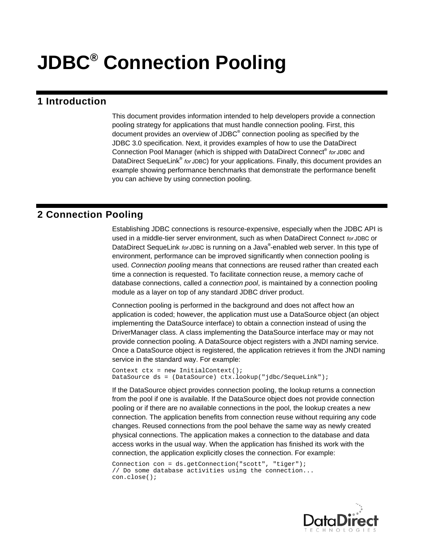# **JDBC® Connection Pooling**

## **1 Introduction**

This document provides information intended to help developers provide a connection pooling strategy for applications that must handle connection pooling. First, this document provides an overview of JDBC<sup>®</sup> connection pooling as specified by the JDBC 3.0 specification. Next, it provides examples of how to use the DataDirect Connection Pool Manager (which is shipped with DataDirect Connect® *for* JDBC and DataDirect SequeLink<sup>®</sup> for JDBC) for your applications. Finally, this document provides an example showing performance benchmarks that demonstrate the performance benefit you can achieve by using connection pooling.

# **2 Connection Pooling**

Establishing JDBC connections is resource-expensive, especially when the JDBC API is used in a middle-tier server environment, such as when DataDirect Connect *for* JDBC or DataDirect SequeLink *for* JDBC is running on a Java® -enabled web server. In this type of environment, performance can be improved significantly when connection pooling is used. *Connection pooling* means that connections are reused rather than created each time a connection is requested. To facilitate connection reuse, a memory cache of database connections, called a *connection pool*, is maintained by a connection pooling module as a layer on top of any standard JDBC driver product.

Connection pooling is performed in the background and does not affect how an application is coded; however, the application must use a DataSource object (an object implementing the DataSource interface) to obtain a connection instead of using the DriverManager class. A class implementing the DataSource interface may or may not provide connection pooling. A DataSource object registers with a JNDI naming service. Once a DataSource object is registered, the application retrieves it from the JNDI naming service in the standard way. For example:

Context  $ctx = new InitialContext()$ ; DataSource ds = (DataSource) ctx.lookup("jdbc/SequeLink");

If the DataSource object provides connection pooling, the lookup returns a connection from the pool if one is available. If the DataSource object does not provide connection pooling or if there are no available connections in the pool, the lookup creates a new connection. The application benefits from connection reuse without requiring any code changes. Reused connections from the pool behave the same way as newly created physical connections. The application makes a connection to the database and data access works in the usual way. When the application has finished its work with the connection, the application explicitly closes the connection. For example:

Connection con = ds.getConnection("scott", "tiger"); // Do some database activities using the connection... con.close();

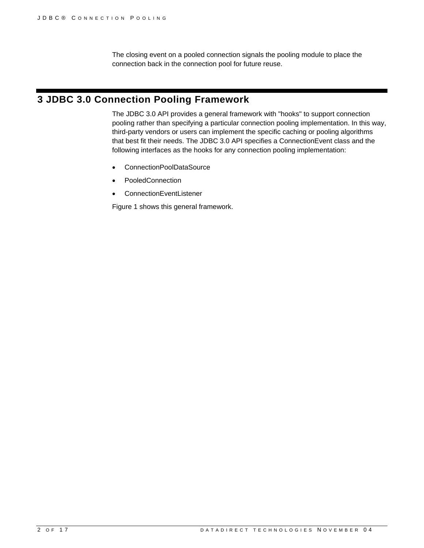The closing event on a pooled connection signals the pooling module to place the connection back in the connection pool for future reuse.

# **3 JDBC 3.0 Connection Pooling Framework**

The JDBC 3.0 API provides a general framework with "hooks" to support connection pooling rather than specifying a particular connection pooling implementation. In this way, third-party vendors or users can implement the specific caching or pooling algorithms that best fit their needs. The JDBC 3.0 API specifies a ConnectionEvent class and the following interfaces as the hooks for any connection pooling implementation:

- ConnectionPoolDataSource
- PooledConnection
- ConnectionEventListener

Figure 1 shows this general framework.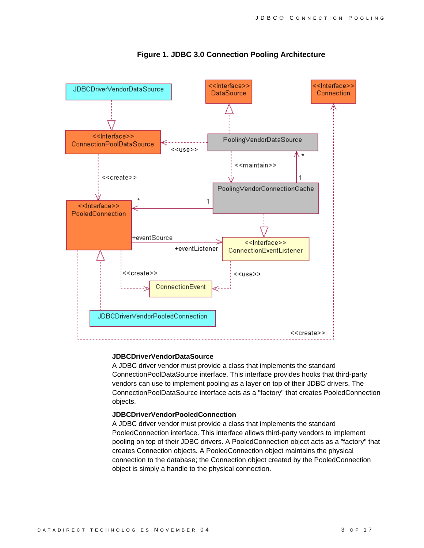

**Figure 1. JDBC 3.0 Connection Pooling Architecture** 

#### **JDBCDriverVendorDataSource**

A JDBC driver vendor must provide a class that implements the standard ConnectionPoolDataSource interface. This interface provides hooks that third-party vendors can use to implement pooling as a layer on top of their JDBC drivers. The ConnectionPoolDataSource interface acts as a "factory" that creates PooledConnection objects.

#### **JDBCDriverVendorPooledConnection**

A JDBC driver vendor must provide a class that implements the standard PooledConnection interface. This interface allows third-party vendors to implement pooling on top of their JDBC drivers. A PooledConnection object acts as a "factory" that creates Connection objects. A PooledConnection object maintains the physical connection to the database; the Connection object created by the PooledConnection object is simply a handle to the physical connection.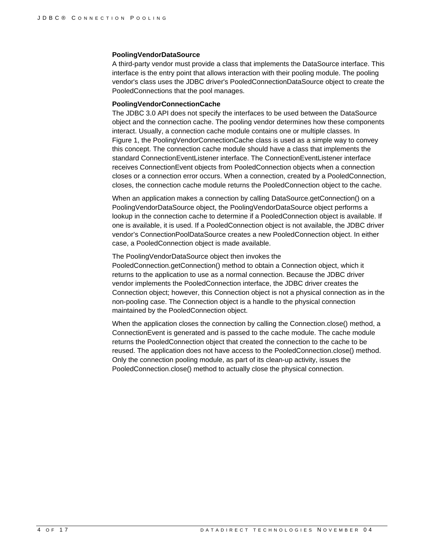#### **PoolingVendorDataSource**

A third-party vendor must provide a class that implements the DataSource interface. This interface is the entry point that allows interaction with their pooling module. The pooling vendor's class uses the JDBC driver's PooledConnectionDataSource object to create the PooledConnections that the pool manages.

#### **PoolingVendorConnectionCache**

The JDBC 3.0 API does not specify the interfaces to be used between the DataSource object and the connection cache. The pooling vendor determines how these components interact. Usually, a connection cache module contains one or multiple classes. In Figure 1, the PoolingVendorConnectionCache class is used as a simple way to convey this concept. The connection cache module should have a class that implements the standard ConnectionEventListener interface. The ConnectionEventListener interface receives ConnectionEvent objects from PooledConnection objects when a connection closes or a connection error occurs. When a connection, created by a PooledConnection, closes, the connection cache module returns the PooledConnection object to the cache.

When an application makes a connection by calling DataSource.getConnection() on a PoolingVendorDataSource object, the PoolingVendorDataSource object performs a lookup in the connection cache to determine if a PooledConnection object is available. If one is available, it is used. If a PooledConnection object is not available, the JDBC driver vendor's ConnectionPoolDataSource creates a new PooledConnection object. In either case, a PooledConnection object is made available.

#### The PoolingVendorDataSource object then invokes the

PooledConnection.getConnection() method to obtain a Connection object, which it returns to the application to use as a normal connection. Because the JDBC driver vendor implements the PooledConnection interface, the JDBC driver creates the Connection object; however, this Connection object is not a physical connection as in the non-pooling case. The Connection object is a handle to the physical connection maintained by the PooledConnection object.

When the application closes the connection by calling the Connection.close() method, a ConnectionEvent is generated and is passed to the cache module. The cache module returns the PooledConnection object that created the connection to the cache to be reused. The application does not have access to the PooledConnection.close() method. Only the connection pooling module, as part of its clean-up activity, issues the PooledConnection.close() method to actually close the physical connection.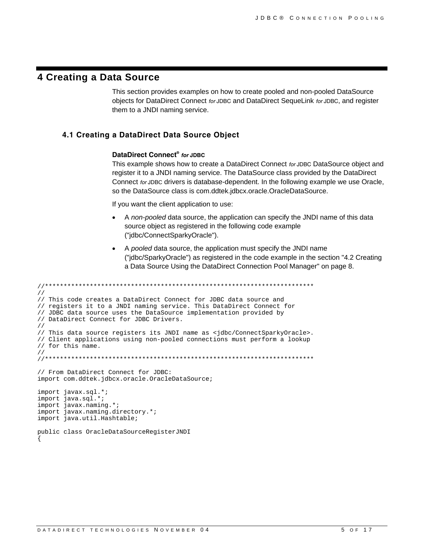## **4 Creating a Data Source**

This section provides examples on how to create pooled and non-pooled DataSource objects for DataDirect Connect *for* JDBC and DataDirect SequeLink *for* JDBC, and register them to a JNDI naming service.

#### **4.1 Creating a DataDirect Data Source Object**

#### **DataDirect Connect®** *for* **JDBC**

This example shows how to create a DataDirect Connect *for* JDBC DataSource object and register it to a JNDI naming service. The DataSource class provided by the DataDirect Connect *for* JDBC drivers is database-dependent. In the following example we use Oracle, so the DataSource class is com.ddtek.jdbcx.oracle.OracleDataSource.

If you want the client application to use:

- A *non-pooled* data source, the application can specify the JNDI name of this data source object as registered in the following code example ("jdbc/ConnectSparkyOracle").
- A *pooled* data source, the application must specify the JNDI name ("jdbc/SparkyOracle") as registered in the code example in the section "4.2 Creating a Data Source Using the DataDirect Connection Pool Manager" on page 8.

```
//************************************************************************ 
// 
// This code creates a DataDirect Connect for JDBC data source and 
// registers it to a JNDI naming service. This DataDirect Connect for 
// JDBC data source uses the DataSource implementation provided by 
// DataDirect Connect for JDBC Drivers. 
// 
// This data source registers its JNDI name as <jdbc/ConnectSparkyOracle>. 
// Client applications using non-pooled connections must perform a lookup 
// for this name. 
// 
//************************************************************************ 
// From DataDirect Connect for JDBC: 
import com.ddtek.jdbcx.oracle.OracleDataSource; 
import javax.sql.*; 
import java.sql.*; 
import javax.naming.*; 
import javax.naming.directory.*; 
import java.util.Hashtable; 
public class OracleDataSourceRegisterJNDI 
{
```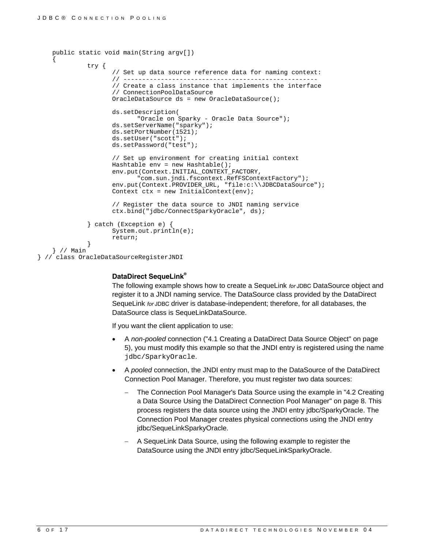```
 public static void main(String argv[]) 
\{ try { 
                     // Set up data source reference data for naming context: 
                     // ---------------------------------------------------- 
                     // Create a class instance that implements the interface 
                     // ConnectionPoolDataSource 
                     OracleDataSource ds = new OracleDataSource(); 
                     ds.setDescription( 
                            "Oracle on Sparky - Oracle Data Source"); 
                     ds.setServerName("sparky"); 
                     ds.setPortNumber(1521); 
                     ds.setUser("scott"); 
                     ds.setPassword("test"); 
                     // Set up environment for creating initial context 
                     Hashtable env = new Hashtable(); 
                     env.put(Context.INITIAL_CONTEXT_FACTORY, 
                            "com.sun.jndi.fscontext.RefFSContextFactory"); 
                     env.put(Context.PROVIDER_URL, "file:c:\\JDBCDataSource"); 
                    Context ctx = new InitialContext(env); // Register the data source to JNDI naming service 
                     ctx.bind("jdbc/ConnectSparkyOracle", ds); 
              } catch (Exception e) { 
                     System.out.println(e); 
              return; 
 } 
    } // Main
```
} // class OracleDataSourceRegisterJNDI

#### **DataDirect SequeLink®**

The following example shows how to create a SequeLink *for* JDBC DataSource object and register it to a JNDI naming service. The DataSource class provided by the DataDirect SequeLink *for* JDBC driver is database-independent; therefore, for all databases, the DataSource class is SequeLinkDataSource.

If you want the client application to use:

- A *non-pooled* connection ("4.1 Creating a DataDirect Data Source Object" on page 5), you must modify this example so that the JNDI entry is registered using the name jdbc/SparkyOracle.
- A *pooled* connection, the JNDI entry must map to the DataSource of the DataDirect Connection Pool Manager. Therefore, you must register two data sources:
	- The Connection Pool Manager's Data Source using the example in "4.2 Creating a Data Source Using the DataDirect Connection Pool Manager" on page 8. This process registers the data source using the JNDI entry jdbc/SparkyOracle. The Connection Pool Manager creates physical connections using the JNDI entry jdbc/SequeLinkSparkyOracle.
	- − A SequeLink Data Source, using the following example to register the DataSource using the JNDI entry jdbc/SequeLinkSparkyOracle.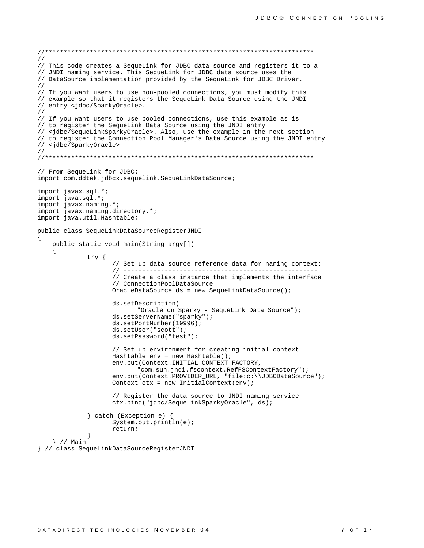```
\frac{1}{2}// This code creates a SequeLink for JDBC data source and registers it to a
// JNDI naming service. This SequeLink for JDBC data source uses the
// DataSource implementation provided by the SequeLink for JDBC Driver.
\frac{1}{2}// If you want users to use non-pooled connections, you must modify this
// example so that it registers the SequeLink Data Source using the JNDI
// entry <jdbc/Sparky0racle>.
\frac{1}{2}// If you want users to use pooled connections, use this example as is
// to register the SequeLink Data Source using the JNDI entry
// <jdbc/SequeLinkSparkyOracle>. Also, use the example in the next section
// to register the Connection Pool Manager's Data Source using the JNDI entry
// <jdbc/SparkyOracle>
\frac{1}{2}// From SequeLink for JDBC:
import com.ddtek.jdbcx.sequelink.SequeLinkDataSource;
import javax.sql.*;
import java.sql.*;
import javax.naming.*;
import javax.naming.directory.*;
import java.util.Hashtable;
public class SequeLinkDataSourceRegisterJNDI
   public static void main(String argv[])
            try \{// Set up data source reference data for naming context:
                  // Create a class instance that implements the interface
                  // ConnectionPoolDataSource
                  OracleDataSource ds = new SequeLinkDataSource();
                  ds.setDescription(
                         "Oracle on Sparky - SequeLink Data Source");
                  ds.setServerName("sparky");
                  ds.setPortNumber(19996);
                  ds.setUser("scott");
                  ds.setPassword("test");
                  // Set up environment for creating initial context
                  Hashtable env = new Hashtable();
                  env.put(Context.INITIAL CONTEXT FACTORY,
                         "com.sun.jndi.fscontext.RefFSContextFactory");
                  env.put(Context.PROVIDER_URL, "file:c:\\JDBCDataSource");
                  Context ctx = new InitialContext(env);// Register the data source to JNDI naming service
                  ctx.bind("jdbc/SequeLinkSparkyOracle", ds);
            catch (Exception e) {
                  System.out.println(e);return;
   }/ // Main
} // class SequeLinkDataSourceRegisterJNDI
```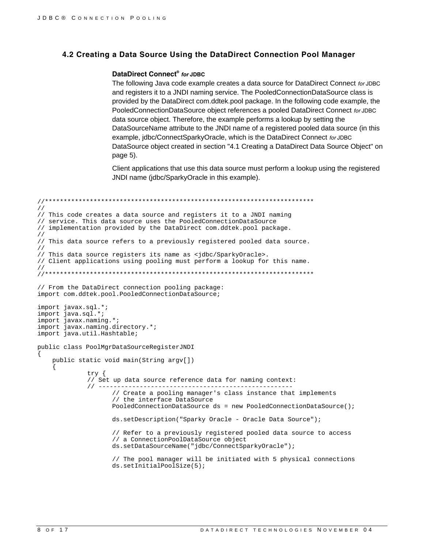#### 4.2 Creating a Data Source Using the DataDirect Connection Pool Manager

#### DataDirect Connect® for JDBC

The following Java code example creates a data source for DataDirect Connect for JDBC and registers it to a JNDI naming service. The PooledConnectionDataSource class is provided by the DataDirect com.ddtek.pool package. In the following code example, the PooledConnectionDataSource object references a pooled DataDirect Connect for JDBC data source object. Therefore, the example performs a lookup by setting the DataSourceName attribute to the JNDI name of a registered pooled data source (in this example, jdbc/ConnectSparkyOracle, which is the DataDirect Connect for JDBC DataSource object created in section "4.1 Creating a DataDirect Data Source Object" on page 5).

Client applications that use this data source must perform a lookup using the registered JNDI name (jdbc/SparkyOracle in this example).

```
\frac{1}{2}// This code creates a data source and registers it to a JNDI naming
// service. This data source uses the PooledConnectionDataSource
// implementation provided by the DataDirect com.ddtek.pool package.
\frac{1}{2}// This data source refers to a previously registered pooled data source.
\frac{1}{2}// This data source registers its name as <jdbc/SparkyOracle>.
// Client applications using pooling must perform a lookup for this name.
\frac{1}{2}// From the DataDirect connection pooling package:
import com.ddtek.pool.PooledConnectionDataSource;
import javax.sql.*;
import java.sql.*;<br>import javax.naming.*;
import javax.naming.directory.*;
import java.util.Hashtable;
public class PoolMgrDataSourceRegisterJNDI
   public static void main(String argv[])
            try \{// Set up data source reference data for naming context:
            // Create a pooling manager's class instance that implements
                  // the interface DataSource
                  PooledConnectionDataSource ds = new PooledConnectionDataSource();
                  ds.setDescription("Sparky Oracle - Oracle Data Source");
                  // Refer to a previously registered pooled data source to access
                  // a ConnectionPoolDataSource object
                  ds.setDataSourceName("jdbc/ConnectSparkyOracle");
                  // The pool manager will be initiated with 5 physical connections
                  ds.setInitialPoolSize(5);
```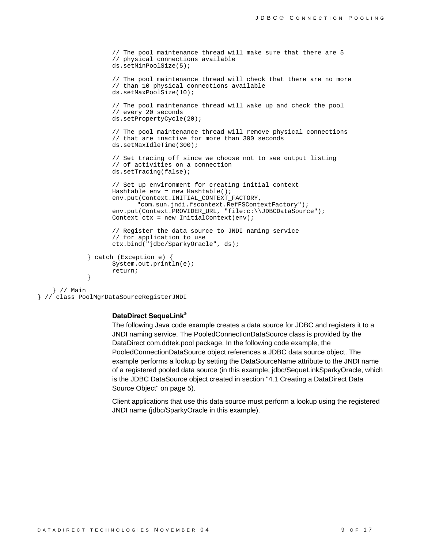```
 // The pool maintenance thread will make sure that there are 5 
                     // physical connections available 
                     ds.setMinPoolSize(5); 
                     // The pool maintenance thread will check that there are no more 
                     // than 10 physical connections available 
                     ds.setMaxPoolSize(10); 
                     // The pool maintenance thread will wake up and check the pool 
                     // every 20 seconds 
                     ds.setPropertyCycle(20); 
                     // The pool maintenance thread will remove physical connections 
                     // that are inactive for more than 300 seconds 
                     ds.setMaxIdleTime(300); 
                     // Set tracing off since we choose not to see output listing 
                     // of activities on a connection 
                     ds.setTracing(false); 
                     // Set up environment for creating initial context 
                     Hashtable env = new Hashtable(); 
                     env.put(Context.INITIAL_CONTEXT_FACTORY, 
                            "com.sun.jndi.fscontext.RefFSContextFactory"); 
                     env.put(Context.PROVIDER_URL, "file:c:\\JDBCDataSource"); 
                    Context ctx = new InitialContext(exp); // Register the data source to JNDI naming service 
                     // for application to use 
                     ctx.bind("jdbc/SparkyOracle", ds); 
              } catch (Exception e) { 
                     System.out.println(e); 
              return; 
 } 
    } // Main
```

```
} // class PoolMgrDataSourceRegisterJNDI
```
#### **DataDirect SequeLink®**

The following Java code example creates a data source for JDBC and registers it to a JNDI naming service. The PooledConnectionDataSource class is provided by the DataDirect com.ddtek.pool package. In the following code example, the PooledConnectionDataSource object references a JDBC data source object. The example performs a lookup by setting the DataSourceName attribute to the JNDI name of a registered pooled data source (in this example, jdbc/SequeLinkSparkyOracle, which is the JDBC DataSource object created in section "4.1 Creating a DataDirect Data Source Object" on page 5).

Client applications that use this data source must perform a lookup using the registered JNDI name (jdbc/SparkyOracle in this example).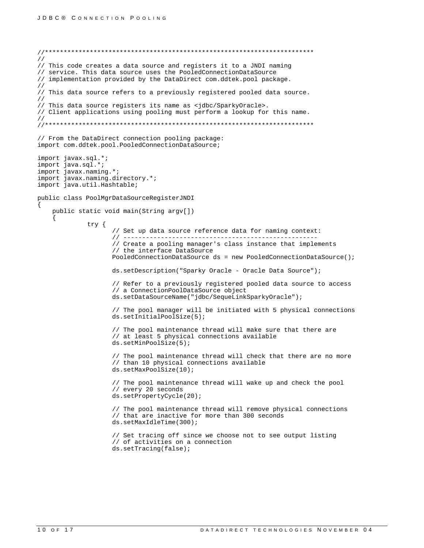```
\frac{1}{2}// This code creates a data source and registers it to a JNDI naming
// service. This data source uses the PooledConnectionDataSource
// implementation provided by the DataDirect com.ddtek.pool package.
\frac{1}{2}// This data source refers to a previously registered pooled data source.
\frac{1}{2}// This data source registers its name as <jdbc/SparkyOracle>.
// Client applications using pooling must perform a lookup for this name.
\frac{1}{2}// From the DataDirect connection pooling package:
import com.ddtek.pool.PooledConnectionDataSource;
import javax.sql.*;
import java.sql.*;<br>import javax.naming.*;<br>import javax.naming.directory.*;
import java.util.Hashtable;
public class PoolMgrDataSourceRegisterJNDI
   public static void main(String argv[])
            try \{// Set up data source reference data for naming context:
                   // Create a pooling manager's class instance that implements
                   // the interface DataSource
                   PooledConnectionDataSource ds = new PooledConnectionDataSource();
                   ds.setDescription("Sparky Oracle - Oracle Data Source");
                   // Refer to a previously registered pooled data source to access
                   // a ConnectionPoolDataSource object
                   ds.setDataSourceName("jdbc/SequeLinkSparkyOracle");
                   // The pool manager will be initiated with 5 physical connections
                   ds.setInitialPoolSize(5);// The pool maintenance thread will make sure that there are
                   // at least 5 physical connections available
                   ds.setMinPoolSize(5);// The pool maintenance thread will check that there are no more
                   // than 10 physical connections available
                   ds.setMaxPoolSize(10);
                   // The pool maintenance thread will wake up and check the pool
                   // every 20 seconds
                   ds.setPropertyCycle(20);
                   // The pool maintenance thread will remove physical connections
                   // that are inactive for more than 300 seconds
                   ds.setMaxIdleTime(300);
                   // Set tracing off since we choose not to see output listing
                   // of activities on a connection
                   ds.setTracing(false);
```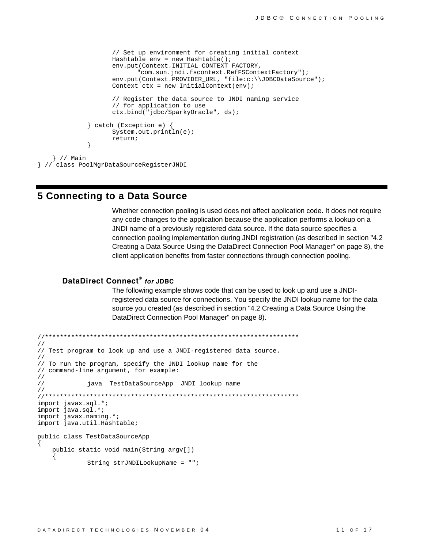```
// Set up environment for creating initial context
                    Hashtable env = new Hashtable();
                    env.put(Context.INITIAL CONTEXT_FACTORY,
                           "com.sun.jndi.fscontext.RefFSContextFactory");
                    env.put(Context.PROVIDER_URL, "file:c:\\JDBCDataSource");
                    Context ctx = new InitialContext(env);// Register the data source to JNDI naming service
                    // for application to use
                    ctx.bind("jdbc/SparkyOracle", ds);
             } catch (Exception e) {
                    System.out.println(e);return;
             \}} // Main
| // class PoolMgrDataSourceRegisterJNDI
```
## **5 Connecting to a Data Source**

Whether connection pooling is used does not affect application code. It does not require any code changes to the application because the application performs a lookup on a JNDI name of a previously registered data source. If the data source specifies a connection pooling implementation during JNDI registration (as described in section "4.2" Creating a Data Source Using the DataDirect Connection Pool Manager" on page 8), the client application benefits from faster connections through connection pooling.

#### DataDirect Connect<sup>®</sup> for JDBC

The following example shows code that can be used to look up and use a JNDIregistered data source for connections. You specify the JNDI lookup name for the data source you created (as described in section "4.2 Creating a Data Source Using the DataDirect Connection Pool Manager" on page 8).

```
\frac{1}{2}// Test program to look up and use a JNDI-registered data source.
\frac{1}{2}// To run the program, specify the JNDI lookup name for the
// command-line argument, for example:
\frac{1}{2}\frac{1}{2}java TestDataSourceApp JNDI_lookup_name
\frac{1}{2}import javax.sql.*;
import java.sql.*;
import javax.naming.*;<br>import java.util.Hashtable;
public class TestDataSourceApp
   public static void main(String argv[])
   \{String strJNDILookupName = "";
```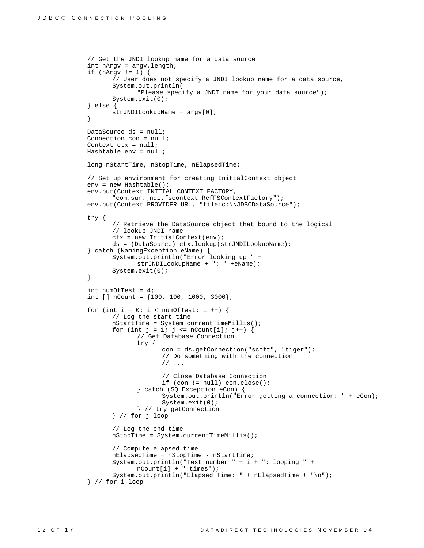```
 // Get the JNDI lookup name for a data source 
              int nArgv = argv.length; 
 if (nArgv != 1) { 
 // User does not specify a JNDI lookup name for a data source, 
                     System.out.println( 
                            "Please specify a JNDI name for your data source"); 
                     System.exit(0); 
              } else { 
             strJNDILookupName = argv[0];
 } 
              DataSource ds = null; 
              Connection con = null; 
              Context ctx = null; 
              Hashtable env = null; 
             long nStartTime, nStopTime, nElapsedTime;
              // Set up environment for creating InitialContext object 
              env = new Hashtable(); 
              env.put(Context.INITIAL_CONTEXT_FACTORY, 
                     "com.sun.jndi.fscontext.RefFSContextFactory"); 
             env.put(Context.PROVIDER_URL, "file:c:\\JDBCDataSource");
              try { 
                     // Retrieve the DataSource object that bound to the logical 
                     // lookup JNDI name 
                     ctx = new InitialContext(env); 
                     ds = (DataSource) ctx.lookup(strJNDILookupName); 
              } catch (NamingException eName) { 
                     System.out.println("Error looking up " + 
                            strJNDILookupName + ": " +eName); 
             System.exit(0);<br>}
 } 
              int numOfTest = 4; 
             int [] nCount = \{100, 100, 1000, 3000\};
             for (int i = 0; i < numOfTest; i ++) {
                     // Log the start time 
                     nStartTime = System.currentTimeMillis(); 
                    for (int j = 1; j \le nCount[i]; j++) {
                            // Get Database Connection 
                            try { 
                                   con = ds.getConnection("scott", "tiger"); 
                                   // Do something with the connection 
                                   // ... 
                                   // Close Database Connection 
                                   if (con != null) con.close(); 
                            } catch (SQLException eCon) { 
                                   System.out.println("Error getting a connection: " + eCon); 
                                   System.exit(0); 
                            } // try getConnection 
                     } // for j loop 
                     // Log the end time 
                     nStopTime = System.currentTimeMillis(); 
                     // Compute elapsed time 
                    nElapsedTime = nStopTime - nStartTime;
                     System.out.println("Test number " + i + ": looping " + 
                           nCount[i] + " times"); 
                     System.out.println("Elapsed Time: " + nElapsedTime + "\n"); 
              } // for i loop
```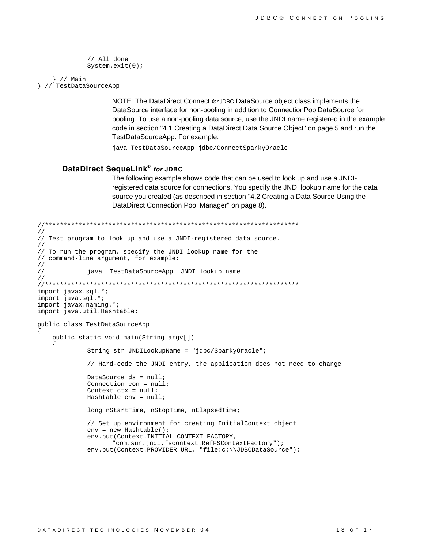```
// All done
System.exit(0);
```
} // Main } // TestDataSourceApp

> NOTE: The DataDirect Connect for JDBC DataSource object class implements the DataSource interface for non-pooling in addition to ConnectionPoolDataSource for pooling. To use a non-pooling data source, use the JNDI name registered in the example code in section "4.1 Creating a DataDirect Data Source Object" on page 5 and run the TestDataSourceApp. For example:

java TestDataSourceApp jdbc/ConnectSparkyOracle

#### DataDirect SequeLink® for JDBC

The following example shows code that can be used to look up and use a JNDIregistered data source for connections. You specify the JNDI lookup name for the data source you created (as described in section "4.2 Creating a Data Source Using the DataDirect Connection Pool Manager" on page 8).

```
\frac{1}{2}// Test program to look up and use a JNDI-registered data source.
\frac{1}{2}// To run the program, specify the JNDI lookup name for the
// command-line argument, for example:
\frac{1}{2}\frac{1}{2}java TestDataSourceApp JNDI_lookup_name
\frac{1}{2}import javax.sql.*;
import java.sql.*;
import javax.naming.*;
import java.util.Hashtable;
public class TestDataSourceApp
   public static void main(String argv[])
            String str JNDILookupName = "jdbc/SparkyOracle";
            // Hard-code the JNDI entry, the application does not need to change
            DataSource ds = null;
            Connection con = null;
            Context ctx = nullHashtable env = null;
            long nStartTime, nStopTime, nElapsedTime;
            // Set up environment for creating InitialContext object
            env = new Hashtable();
            env.put(Context.INITIAL CONTEXT FACTORY,
                  "com.sun.jndi.fscontext.RefFSContextFactory");
            env.put(Context.PROVIDER_URL, "file:c:\\JDBCDataSource");
```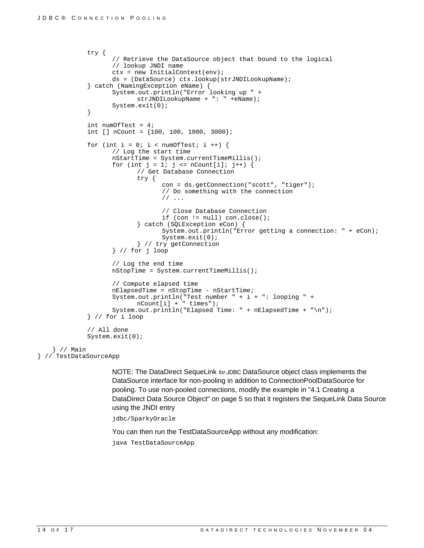```
 try { 
                      // Retrieve the DataSource object that bound to the logical 
                      // lookup JNDI name 
                      ctx = new InitialContext(env); 
                      ds = (DataSource) ctx.lookup(strJNDILookupName); 
               } catch (NamingException eName) { 
                      System.out.println("Error looking up " + 
                             strJNDILookupName + ": " +eName); 
              System.exit(0);<br>}
 } 
               int numOfTest = 4; 
              int [] nCount = \{100, 100, 1000, 3000\};
              for (int i = 0; i < numOfTest; i ++) {
                      // Log the start time 
                      nStartTime = System.currentTimeMillis(); 
                     for (int j = 1; j \le nCount[i]; j++) {
                             // Get Database Connection 
                             try { 
                                    con = ds.getConnection("scott", "tiger"); 
                                    // Do something with the connection 
                                    // ... 
                                    // Close Database Connection 
                                    if (con != null) con.close(); 
                             } catch (SQLException eCon) { 
                                    System.out.println("Error getting a connection: " + eCon); 
                                    System.exit(0); 
                             } // try getConnection 
                      } // for j loop 
                      // Log the end time 
                      nStopTime = System.currentTimeMillis(); 
                      // Compute elapsed time 
                      nElapsedTime = nStopTime - nStartTime; 
                      System.out.println("Test number " + i + ": looping " + 
                             nCount[i] + " times"); 
                      System.out.println("Elapsed Time: " + nElapsedTime + "\n"); 
               } // for i loop 
               // All done 
              System.exit(0); 
     } // Main
```

```
} // TestDataSourceApp
```
NOTE: The DataDirect SequeLink *for* JDBC DataSource object class implements the DataSource interface for non-pooling in addition to ConnectionPoolDataSource for pooling. To use non-pooled connections, modify the example in "4.1 Creating a DataDirect Data Source Object" on page 5 so that it registers the SequeLink Data Source using the JNDI entry

jdbc/SparkyOracle

You can then run the TestDataSourceApp without any modification:

java TestDataSourceApp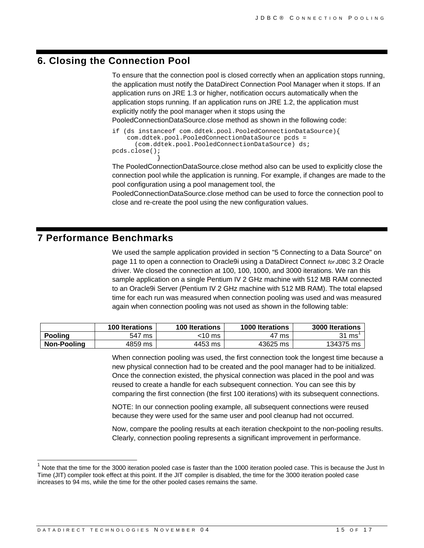## **6. Closing the Connection Pool**

}

To ensure that the connection pool is closed correctly when an application stops running, the application must notify the DataDirect Connection Pool Manager when it stops. If an application runs on JRE 1.3 or higher, notification occurs automatically when the application stops running. If an application runs on JRE 1.2, the application must explicitly notify the pool manager when it stops using the PooledConnectionDataSource.close method as shown in the following code:

```
if (ds instanceof com.ddtek.pool.PooledConnectionDataSource){ 
     com.ddtek.pool.PooledConnectionDataSource pcds = 
       (com.ddtek.pool.PooledConnectionDataSource) ds; 
pcds.close();
```
The PooledConnectionDataSource.close method also can be used to explicitly close the connection pool while the application is running. For example, if changes are made to the pool configuration using a pool management tool, the

PooledConnectionDataSource.close method can be used to force the connection pool to close and re-create the pool using the new configuration values.

### **7 Performance Benchmarks**

We used the sample application provided in section "5 Connecting to a Data Source" on page 11 to open a connection to Oracle9i using a DataDirect Connect *for* JDBC 3.2 Oracle driver. We closed the connection at 100, 100, 1000, and 3000 iterations. We ran this sample application on a single Pentium IV 2 GHz machine with 512 MB RAM connected to an Oracle9i Server (Pentium IV 2 GHz machine with 512 MB RAM). The total elapsed time for each run was measured when connection pooling was used and was measured again when connection pooling was not used as shown in the following table:

|                | <b>100 Iterations</b> | <b>100 Iterations</b> | 1000 Iterations | 3000 Iterations |
|----------------|-----------------------|-----------------------|-----------------|-----------------|
| <b>Pooling</b> | 547<br>ms             | :10 ms                | 47 ms           | 31 ms           |
| Non-Pooling    | 4859 ms               | 4453 ms               | 43625 ms        | 134375 ms       |

When connection pooling was used, the first connection took the longest time because a new physical connection had to be created and the pool manager had to be initialized. Once the connection existed, the physical connection was placed in the pool and was reused to create a handle for each subsequent connection. You can see this by comparing the first connection (the first 100 iterations) with its subsequent connections.

NOTE: In our connection pooling example, all subsequent connections were reused because they were used for the same user and pool cleanup had not occurred.

Now, compare the pooling results at each iteration checkpoint to the non-pooling results. Clearly, connection pooling represents a significant improvement in performance.

 $\overline{\phantom{a}}$ 

Note that the time for the 3000 iteration pooled case is faster than the 1000 iteration pooled case. This is because the Just In Time (JIT) compiler took effect at this point. If the JIT compiler is disabled, the time for the 3000 iteration pooled case increases to 94 ms, while the time for the other pooled cases remains the same.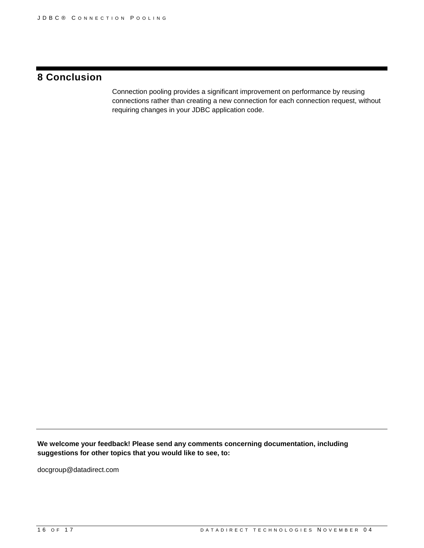# **8 Conclusion**

Connection pooling provides a significant improvement on performance by reusing connections rather than creating a new connection for each connection request, without requiring changes in your JDBC application code.

**We welcome your feedback! Please send any comments concerning documentation, including suggestions for other topics that you would like to see, to:** 

docgroup@datadirect.com